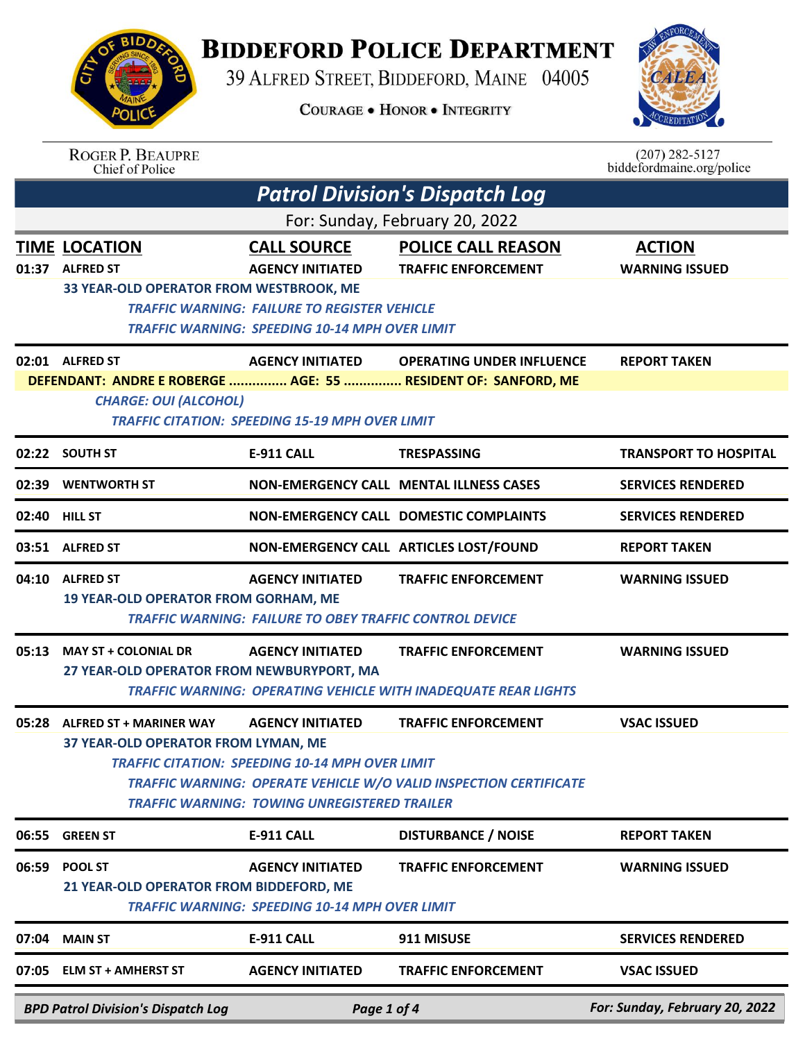## **BIDDEFORD POLICE DEPARTMENT**

39 ALFRED STREET, BIDDEFORD, MAINE 04005

**COURAGE . HONOR . INTEGRITY** 



|       | <b>ROGER P. BEAUPRE</b><br><b>Chief of Police</b>                                                                                                       |                                                                                                                                          |                                                                                                 | $(207) 282 - 5127$<br>biddefordmaine.org/police |  |  |
|-------|---------------------------------------------------------------------------------------------------------------------------------------------------------|------------------------------------------------------------------------------------------------------------------------------------------|-------------------------------------------------------------------------------------------------|-------------------------------------------------|--|--|
|       | <b>Patrol Division's Dispatch Log</b>                                                                                                                   |                                                                                                                                          |                                                                                                 |                                                 |  |  |
|       |                                                                                                                                                         |                                                                                                                                          | For: Sunday, February 20, 2022                                                                  |                                                 |  |  |
|       | <b>TIME LOCATION</b><br>01:37 ALFRED ST                                                                                                                 | <b>CALL SOURCE</b><br><b>AGENCY INITIATED</b>                                                                                            | <b>POLICE CALL REASON</b><br><b>TRAFFIC ENFORCEMENT</b>                                         | <b>ACTION</b><br><b>WARNING ISSUED</b>          |  |  |
|       | 33 YEAR-OLD OPERATOR FROM WESTBROOK, ME<br><b>TRAFFIC WARNING: FAILURE TO REGISTER VEHICLE</b><br>TRAFFIC WARNING: SPEEDING 10-14 MPH OVER LIMIT        |                                                                                                                                          |                                                                                                 |                                                 |  |  |
|       | 02:01 ALFRED ST                                                                                                                                         | <b>AGENCY INITIATED</b>                                                                                                                  | <b>OPERATING UNDER INFLUENCE</b>                                                                | <b>REPORT TAKEN</b>                             |  |  |
|       | DEFENDANT: ANDRE E ROBERGE  AGE: 55  RESIDENT OF: SANFORD, ME<br><b>CHARGE: OUI (ALCOHOL)</b><br><b>TRAFFIC CITATION: SPEEDING 15-19 MPH OVER LIMIT</b> |                                                                                                                                          |                                                                                                 |                                                 |  |  |
|       | 02:22 SOUTH ST                                                                                                                                          | <b>E-911 CALL</b>                                                                                                                        | <b>TRESPASSING</b>                                                                              | <b>TRANSPORT TO HOSPITAL</b>                    |  |  |
| 02:39 | <b>WENTWORTH ST</b>                                                                                                                                     |                                                                                                                                          | <b>NON-EMERGENCY CALL MENTAL ILLNESS CASES</b>                                                  | <b>SERVICES RENDERED</b>                        |  |  |
| 02:40 | <b>HILL ST</b>                                                                                                                                          |                                                                                                                                          | <b>NON-EMERGENCY CALL DOMESTIC COMPLAINTS</b>                                                   | <b>SERVICES RENDERED</b>                        |  |  |
|       | 03:51 ALFRED ST                                                                                                                                         |                                                                                                                                          | NON-EMERGENCY CALL ARTICLES LOST/FOUND                                                          | <b>REPORT TAKEN</b>                             |  |  |
| 04:10 | <b>ALFRED ST</b><br><b>19 YEAR-OLD OPERATOR FROM GORHAM, ME</b>                                                                                         | <b>AGENCY INITIATED</b><br>TRAFFIC WARNING: FAILURE TO OBEY TRAFFIC CONTROL DEVICE                                                       | <b>TRAFFIC ENFORCEMENT</b>                                                                      | <b>WARNING ISSUED</b>                           |  |  |
| 05:13 | <b>MAY ST + COLONIAL DR</b><br>27 YEAR-OLD OPERATOR FROM NEWBURYPORT, MA                                                                                | <b>AGENCY INITIATED</b>                                                                                                                  | <b>TRAFFIC ENFORCEMENT</b><br>TRAFFIC WARNING: OPERATING VEHICLE WITH INADEQUATE REAR LIGHTS    | <b>WARNING ISSUED</b>                           |  |  |
|       | 05:28 ALFRED ST + MARINER WAY<br>37 YEAR-OLD OPERATOR FROM LYMAN, ME                                                                                    | <b>AGENCY INITIATED</b><br><b>TRAFFIC CITATION: SPEEDING 10-14 MPH OVER LIMIT</b><br><b>TRAFFIC WARNING: TOWING UNREGISTERED TRAILER</b> | <b>TRAFFIC ENFORCEMENT</b><br>TRAFFIC WARNING: OPERATE VEHICLE W/O VALID INSPECTION CERTIFICATE | <b>VSAC ISSUED</b>                              |  |  |
| 06:55 | <b>GREEN ST</b>                                                                                                                                         | <b>E-911 CALL</b>                                                                                                                        | <b>DISTURBANCE / NOISE</b>                                                                      | <b>REPORT TAKEN</b>                             |  |  |
| 06:59 | <b>POOL ST</b><br>21 YEAR-OLD OPERATOR FROM BIDDEFORD, ME                                                                                               | <b>AGENCY INITIATED</b><br><b>TRAFFIC WARNING: SPEEDING 10-14 MPH OVER LIMIT</b>                                                         | <b>TRAFFIC ENFORCEMENT</b>                                                                      | <b>WARNING ISSUED</b>                           |  |  |
| 07:04 | <b>MAIN ST</b>                                                                                                                                          | <b>E-911 CALL</b>                                                                                                                        | 911 MISUSE                                                                                      | <b>SERVICES RENDERED</b>                        |  |  |
| 07:05 | <b>ELM ST + AMHERST ST</b>                                                                                                                              | <b>AGENCY INITIATED</b>                                                                                                                  | <b>TRAFFIC ENFORCEMENT</b>                                                                      | <b>VSAC ISSUED</b>                              |  |  |
|       | <b>BPD Patrol Division's Dispatch Log</b>                                                                                                               | Page 1 of 4                                                                                                                              |                                                                                                 | For: Sunday, February 20, 2022                  |  |  |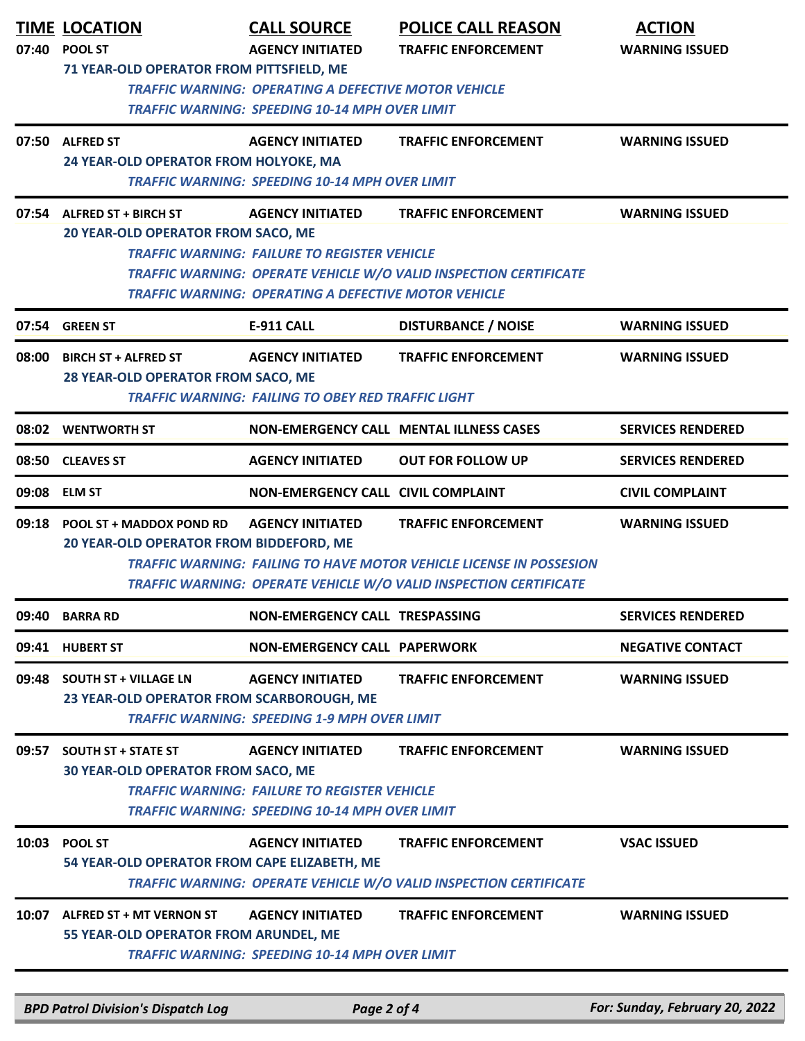| 07:40 | <b>TIME LOCATION</b><br><b>POOL ST</b><br>71 YEAR-OLD OPERATOR FROM PITTSFIELD, ME                                                                                                                                                                                                                                                                   | <b>CALL SOURCE</b><br><b>AGENCY INITIATED</b>                                                                                           | <b>POLICE CALL REASON</b><br><b>TRAFFIC ENFORCEMENT</b>                                         | <b>ACTION</b><br><b>WARNING ISSUED</b> |  |  |  |
|-------|------------------------------------------------------------------------------------------------------------------------------------------------------------------------------------------------------------------------------------------------------------------------------------------------------------------------------------------------------|-----------------------------------------------------------------------------------------------------------------------------------------|-------------------------------------------------------------------------------------------------|----------------------------------------|--|--|--|
|       |                                                                                                                                                                                                                                                                                                                                                      | <b>TRAFFIC WARNING: OPERATING A DEFECTIVE MOTOR VEHICLE</b><br><b>TRAFFIC WARNING: SPEEDING 10-14 MPH OVER LIMIT</b>                    |                                                                                                 |                                        |  |  |  |
| 07:50 | <b>ALFRED ST</b><br>24 YEAR-OLD OPERATOR FROM HOLYOKE, MA                                                                                                                                                                                                                                                                                            | <b>AGENCY INITIATED</b><br><b>TRAFFIC WARNING: SPEEDING 10-14 MPH OVER LIMIT</b>                                                        | <b>TRAFFIC ENFORCEMENT</b>                                                                      | <b>WARNING ISSUED</b>                  |  |  |  |
|       | 07:54 ALFRED ST + BIRCH ST<br><b>AGENCY INITIATED</b><br><b>TRAFFIC ENFORCEMENT</b><br><b>WARNING ISSUED</b><br>20 YEAR-OLD OPERATOR FROM SACO, ME<br><b>TRAFFIC WARNING: FAILURE TO REGISTER VEHICLE</b><br><b>TRAFFIC WARNING: OPERATE VEHICLE W/O VALID INSPECTION CERTIFICATE</b><br><b>TRAFFIC WARNING: OPERATING A DEFECTIVE MOTOR VEHICLE</b> |                                                                                                                                         |                                                                                                 |                                        |  |  |  |
|       | 07:54 GREEN ST                                                                                                                                                                                                                                                                                                                                       | <b>E-911 CALL</b>                                                                                                                       | <b>DISTURBANCE / NOISE</b>                                                                      | <b>WARNING ISSUED</b>                  |  |  |  |
| 08:00 | <b>BIRCH ST + ALFRED ST</b><br>28 YEAR-OLD OPERATOR FROM SACO, ME                                                                                                                                                                                                                                                                                    | <b>AGENCY INITIATED</b><br><b>TRAFFIC WARNING: FAILING TO OBEY RED TRAFFIC LIGHT</b>                                                    | <b>TRAFFIC ENFORCEMENT</b>                                                                      | <b>WARNING ISSUED</b>                  |  |  |  |
|       | 08:02 WENTWORTH ST                                                                                                                                                                                                                                                                                                                                   |                                                                                                                                         | <b>NON-EMERGENCY CALL MENTAL ILLNESS CASES</b>                                                  | <b>SERVICES RENDERED</b>               |  |  |  |
|       | 08:50 CLEAVES ST                                                                                                                                                                                                                                                                                                                                     | <b>AGENCY INITIATED</b>                                                                                                                 | <b>OUT FOR FOLLOW UP</b>                                                                        | <b>SERVICES RENDERED</b>               |  |  |  |
|       | 09:08 ELM ST                                                                                                                                                                                                                                                                                                                                         | <b>NON-EMERGENCY CALL CIVIL COMPLAINT</b>                                                                                               |                                                                                                 | <b>CIVIL COMPLAINT</b>                 |  |  |  |
| 09:18 | POOL ST + MADDOX POND RD<br><b>AGENCY INITIATED</b><br><b>TRAFFIC ENFORCEMENT</b><br><b>WARNING ISSUED</b><br>20 YEAR-OLD OPERATOR FROM BIDDEFORD, ME<br><b>TRAFFIC WARNING: FAILING TO HAVE MOTOR VEHICLE LICENSE IN POSSESION</b><br><b>TRAFFIC WARNING: OPERATE VEHICLE W/O VALID INSPECTION CERTIFICATE</b>                                      |                                                                                                                                         |                                                                                                 |                                        |  |  |  |
| 09:40 | <b>BARRA RD</b>                                                                                                                                                                                                                                                                                                                                      | NON-EMERGENCY CALL TRESPASSING                                                                                                          |                                                                                                 | <b>SERVICES RENDERED</b>               |  |  |  |
|       | 09:41 HUBERT ST                                                                                                                                                                                                                                                                                                                                      | <b>NON-EMERGENCY CALL PAPERWORK</b>                                                                                                     |                                                                                                 | <b>NEGATIVE CONTACT</b>                |  |  |  |
|       | 09:48 SOUTH ST + VILLAGE LN<br>23 YEAR-OLD OPERATOR FROM SCARBOROUGH, ME                                                                                                                                                                                                                                                                             | <b>AGENCY INITIATED</b><br><b>TRAFFIC WARNING: SPEEDING 1-9 MPH OVER LIMIT</b>                                                          | <b>TRAFFIC ENFORCEMENT</b>                                                                      | <b>WARNING ISSUED</b>                  |  |  |  |
| 09:57 | <b>SOUTH ST + STATE ST</b><br><b>30 YEAR-OLD OPERATOR FROM SACO, ME</b>                                                                                                                                                                                                                                                                              | <b>AGENCY INITIATED</b><br><b>TRAFFIC WARNING: FAILURE TO REGISTER VEHICLE</b><br><b>TRAFFIC WARNING: SPEEDING 10-14 MPH OVER LIMIT</b> | <b>TRAFFIC ENFORCEMENT</b>                                                                      | <b>WARNING ISSUED</b>                  |  |  |  |
| 10:03 | <b>POOL ST</b><br>54 YEAR-OLD OPERATOR FROM CAPE ELIZABETH, ME                                                                                                                                                                                                                                                                                       | <b>AGENCY INITIATED</b>                                                                                                                 | <b>TRAFFIC ENFORCEMENT</b><br>TRAFFIC WARNING: OPERATE VEHICLE W/O VALID INSPECTION CERTIFICATE | <b>VSAC ISSUED</b>                     |  |  |  |
|       | 10:07 ALFRED ST + MT VERNON ST<br>55 YEAR-OLD OPERATOR FROM ARUNDEL, ME                                                                                                                                                                                                                                                                              | <b>AGENCY INITIATED</b><br><b>TRAFFIC WARNING: SPEEDING 10-14 MPH OVER LIMIT</b>                                                        | <b>TRAFFIC ENFORCEMENT</b>                                                                      | <b>WARNING ISSUED</b>                  |  |  |  |

*BPD Patrol Division's Dispatch Log Page 2 of 4 For: Sunday, February 20, 2022*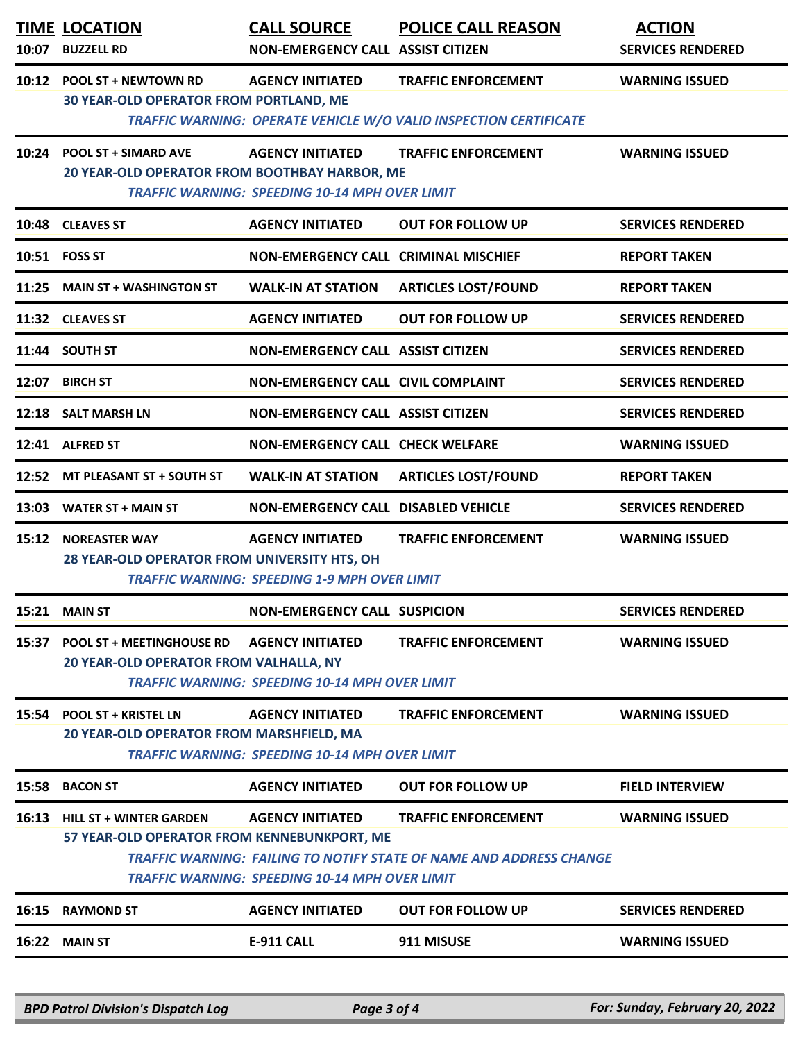|       | <b>TIME LOCATION</b><br>10:07 BUZZELL RD                                      | <b>CALL SOURCE</b><br><b>NON-EMERGENCY CALL ASSIST CITIZEN</b>                   | <b>POLICE CALL REASON</b>                                                                         | <b>ACTION</b><br><b>SERVICES RENDERED</b> |
|-------|-------------------------------------------------------------------------------|----------------------------------------------------------------------------------|---------------------------------------------------------------------------------------------------|-------------------------------------------|
|       | 10:12 POOL ST + NEWTOWN RD<br><b>30 YEAR-OLD OPERATOR FROM PORTLAND, ME</b>   | <b>AGENCY INITIATED</b>                                                          | <b>TRAFFIC ENFORCEMENT</b><br>TRAFFIC WARNING: OPERATE VEHICLE W/O VALID INSPECTION CERTIFICATE   | <b>WARNING ISSUED</b>                     |
|       | 10:24 POOL ST + SIMARD AVE<br>20 YEAR-OLD OPERATOR FROM BOOTHBAY HARBOR, ME   | <b>AGENCY INITIATED</b><br><b>TRAFFIC WARNING: SPEEDING 10-14 MPH OVER LIMIT</b> | <b>TRAFFIC ENFORCEMENT</b>                                                                        | <b>WARNING ISSUED</b>                     |
|       | 10:48 CLEAVES ST                                                              | <b>AGENCY INITIATED</b>                                                          | <b>OUT FOR FOLLOW UP</b>                                                                          | <b>SERVICES RENDERED</b>                  |
|       | 10:51 FOSS ST                                                                 | <b>NON-EMERGENCY CALL CRIMINAL MISCHIEF</b>                                      |                                                                                                   | <b>REPORT TAKEN</b>                       |
|       | 11:25 MAIN ST + WASHINGTON ST                                                 | <b>WALK-IN AT STATION</b>                                                        | <b>ARTICLES LOST/FOUND</b>                                                                        | <b>REPORT TAKEN</b>                       |
|       | 11:32 CLEAVES ST                                                              | <b>AGENCY INITIATED</b>                                                          | <b>OUT FOR FOLLOW UP</b>                                                                          | <b>SERVICES RENDERED</b>                  |
|       | 11:44 SOUTH ST                                                                | <b>NON-EMERGENCY CALL ASSIST CITIZEN</b>                                         |                                                                                                   | <b>SERVICES RENDERED</b>                  |
|       | 12:07 BIRCH ST                                                                | <b>NON-EMERGENCY CALL CIVIL COMPLAINT</b>                                        |                                                                                                   | <b>SERVICES RENDERED</b>                  |
|       | 12:18 SALT MARSH LN                                                           | <b>NON-EMERGENCY CALL ASSIST CITIZEN</b>                                         |                                                                                                   | <b>SERVICES RENDERED</b>                  |
|       | 12:41 ALFRED ST                                                               | <b>NON-EMERGENCY CALL CHECK WELFARE</b>                                          |                                                                                                   | <b>WARNING ISSUED</b>                     |
|       | 12:52 MT PLEASANT ST + SOUTH ST                                               | <b>WALK-IN AT STATION</b>                                                        | <b>ARTICLES LOST/FOUND</b>                                                                        | <b>REPORT TAKEN</b>                       |
|       | 13:03 WATER ST + MAIN ST                                                      | <b>NON-EMERGENCY CALL DISABLED VEHICLE</b>                                       |                                                                                                   | <b>SERVICES RENDERED</b>                  |
|       | <b>15:12 NOREASTER WAY</b><br>28 YEAR-OLD OPERATOR FROM UNIVERSITY HTS, OH    | <b>AGENCY INITIATED</b><br><b>TRAFFIC WARNING: SPEEDING 1-9 MPH OVER LIMIT</b>   | <b>TRAFFIC ENFORCEMENT</b>                                                                        | <b>WARNING ISSUED</b>                     |
|       | 15:21 MAIN ST                                                                 | <b>NON-EMERGENCY CALL SUSPICION</b>                                              |                                                                                                   | <b>SERVICES RENDERED</b>                  |
|       | 15:37 POOL ST + MEETINGHOUSE RD<br>20 YEAR-OLD OPERATOR FROM VALHALLA, NY     | <b>AGENCY INITIATED</b><br><b>TRAFFIC WARNING: SPEEDING 10-14 MPH OVER LIMIT</b> | <b>TRAFFIC ENFORCEMENT</b>                                                                        | <b>WARNING ISSUED</b>                     |
|       | 15:54 POOL ST + KRISTEL LN<br>20 YEAR-OLD OPERATOR FROM MARSHFIELD, MA        | <b>AGENCY INITIATED</b><br><b>TRAFFIC WARNING: SPEEDING 10-14 MPH OVER LIMIT</b> | <b>TRAFFIC ENFORCEMENT</b>                                                                        | <b>WARNING ISSUED</b>                     |
| 15:58 | <b>BACON ST</b>                                                               | <b>AGENCY INITIATED</b>                                                          | <b>OUT FOR FOLLOW UP</b>                                                                          | <b>FIELD INTERVIEW</b>                    |
| 16:13 | <b>HILL ST + WINTER GARDEN</b><br>57 YEAR-OLD OPERATOR FROM KENNEBUNKPORT, ME | <b>AGENCY INITIATED</b><br><b>TRAFFIC WARNING: SPEEDING 10-14 MPH OVER LIMIT</b> | <b>TRAFFIC ENFORCEMENT</b><br>TRAFFIC WARNING: FAILING TO NOTIFY STATE OF NAME AND ADDRESS CHANGE | <b>WARNING ISSUED</b>                     |
|       | 16:15 RAYMOND ST                                                              | <b>AGENCY INITIATED</b>                                                          | <b>OUT FOR FOLLOW UP</b>                                                                          | <b>SERVICES RENDERED</b>                  |
|       | 16:22 MAIN ST                                                                 | <b>E-911 CALL</b>                                                                | 911 MISUSE                                                                                        | <b>WARNING ISSUED</b>                     |